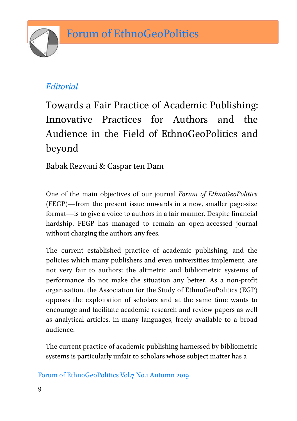

## *Editorial*

Towards a Fair Practice of Academic Publishing: Innovative Practices for Authors and the Audience in the Field of EthnoGeoPolitics and beyond

Babak Rezvani & Caspar ten Dam

One of the main objectives of our journal *Forum of EthnoGeoPolitics* (FEGP)—from the present issue onwards in a new, smaller page-size format—is to give a voice to authors in a fair manner. Despite financial hardship, FEGP has managed to remain an open-accessed journal without charging the authors any fees.

The current established practice of academic publishing, and the policies which many publishers and even universities implement, are not very fair to authors; the altmetric and bibliometric systems of performance do not make the situation any better. As a non-profit organisation, the Association for the Study of EthnoGeoPolitics (EGP) opposes the exploitation of scholars and at the same time wants to encourage and facilitate academic research and review papers as well as analytical articles, in many languages, freely available to a broad audience.

The current practice of academic publishing harnessed by bibliometric systems is particularly unfair to scholars whose subject matter has a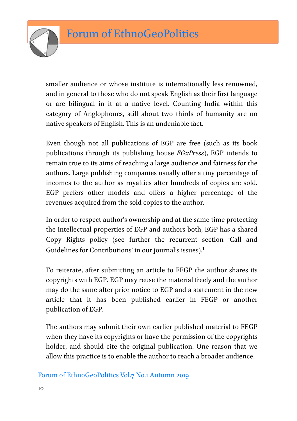

smaller audience or whose institute is internationally less renowned, and in general to those who do not speak English as their first language or are bilingual in it at a native level. Counting India within this category of Anglophones, still about two thirds of humanity are no native speakers of English. This is an undeniable fact.

Even though not all publications of EGP are free (such as its book publications through its publishing house *EGxPress*), EGP intends to remain true to its aims of reaching a large audience and fairness for the authors. Large publishing companies usually offer a tiny percentage of incomes to the author as royalties after hundreds of copies are sold. EGP prefers other models and offers a higher percentage of the revenues acquired from the sold copies to the author.

In order to respect author's ownership and at the same time protecting the intellectual properties of EGP and authors both, EGP has a shared Copy Rights policy (see further the recurrent section 'Call and Guidelines for Contributions' in our journal's issues). 1

To reiterate, after submitting an article to FEGP the author shares its copyrights with EGP. EGP may reuse the material freely and the author may do the same after prior notice to EGP and a statement in the new article that it has been published earlier in FEGP or another publication of EGP.

The authors may submit their own earlier published material to FEGP when they have its copyrights or have the permission of the copyrights holder, and should cite the original publication. One reason that we allow this practice is to enable the author to reach a broader audience.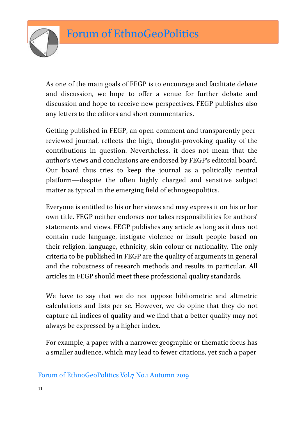

As one of the main goals of FEGP is to encourage and facilitate debate and discussion, we hope to offer a venue for further debate and discussion and hope to receive new perspectives. FEGP publishes also any letters to the editors and short commentaries.

Getting published in FEGP, an open-comment and transparently peerreviewed journal, reflects the high, thought-provoking quality of the contributions in question. Nevertheless, it does not mean that the author's views and conclusions are endorsed by FEGP's editorial board. Our board thus tries to keep the journal as a politically neutral platform—despite the often highly charged and sensitive subject matter as typical in the emerging field of ethnogeopolitics.

Everyone is entitled to his or her views and may express it on his or her own title. FEGP neither endorses nor takes responsibilities for authors' statements and views. FEGP publishes any article as long as it does not contain rude language, instigate violence or insult people based on their religion, language, ethnicity, skin colour or nationality. The only criteria to be published in FEGP are the quality of arguments in general and the robustness of research methods and results in particular. All articles in FEGP should meet these professional quality standards.

We have to say that we do not oppose bibliometric and altmetric calculations and lists per se. However, we do opine that they do not capture all indices of quality and we find that a better quality may not always be expressed by a higher index.

For example, a paper with a narrower geographic or thematic focus has a smaller audience, which may lead to fewer citations, yet such a paper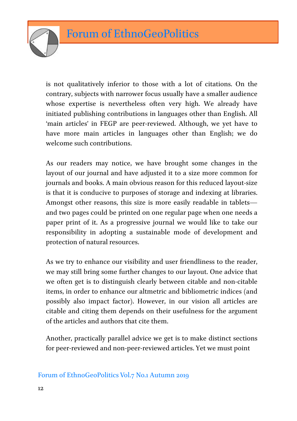

is not qualitatively inferior to those with a lot of citations. On the contrary, subjects with narrower focus usually have a smaller audience whose expertise is nevertheless often very high. We already have initiated publishing contributions in languages other than English. All 'main articles' in FEGP are peer-reviewed. Although, we yet have to have more main articles in languages other than English; we do welcome such contributions.

As our readers may notice, we have brought some changes in the layout of our journal and have adjusted it to a size more common for journals and books. A main obvious reason for this reduced layout-size is that it is conducive to purposes of storage and indexing at libraries. Amongst other reasons, this size is more easily readable in tablets and two pages could be printed on one regular page when one needs a paper print of it. As a progressive journal we would like to take our responsibility in adopting a sustainable mode of development and protection of natural resources.

As we try to enhance our visibility and user friendliness to the reader, we may still bring some further changes to our layout. One advice that we often get is to distinguish clearly between citable and non-citable items, in order to enhance our altmetric and bibliometric indices (and possibly also impact factor). However, in our vision all articles are citable and citing them depends on their usefulness for the argument of the articles and authors that cite them.

Another, practically parallel advice we get is to make distinct sections for peer-reviewed and non-peer-reviewed articles. Yet we must point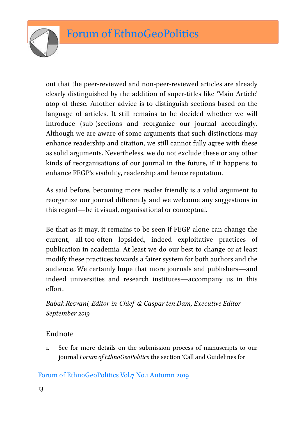

out that the peer-reviewed and non-peer-reviewed articles are already clearly distinguished by the addition of super-titles like 'Main Article' atop of these. Another advice is to distinguish sections based on the language of articles. It still remains to be decided whether we will introduce (sub-)sections and reorganize our journal accordingly. Although we are aware of some arguments that such distinctions may enhance readership and citation, we still cannot fully agree with these as solid arguments. Nevertheless, we do not exclude these or any other kinds of reorganisations of our journal in the future, if it happens to enhance FEGP's visibility, readership and hence reputation.

As said before, becoming more reader friendly is a valid argument to reorganize our journal differently and we welcome any suggestions in this regard—be it visual, organisational or conceptual.

Be that as it may, it remains to be seen if FEGP alone can change the current, all-too-often lopsided, indeed exploitative practices of publication in academia. At least we do our best to change or at least modify these practices towards a fairer system for both authors and the audience. We certainly hope that more journals and publishers—and indeed universities and research institutes—accompany us in this effort.

*Babak Rezvani, Editor-in-Chief & Caspar ten Dam, Executive Editor September 2019*

## Endnote

1. See for more details on the submission process of manuscripts to our journal *Forum of EthnoGeoPolitics* the section 'Call and Guidelines for